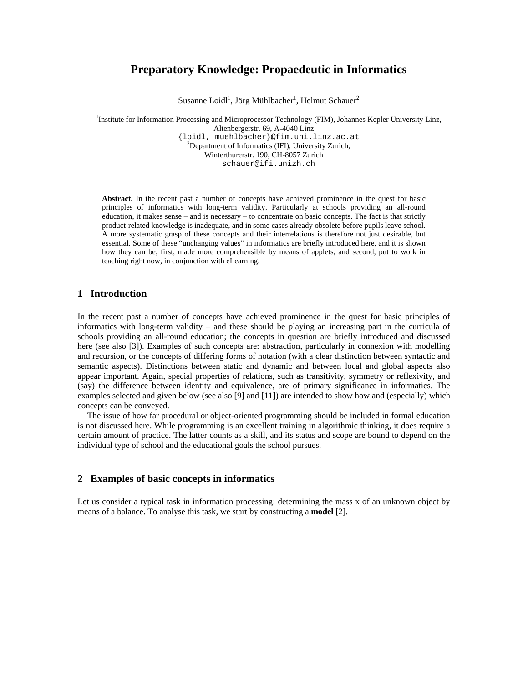# **Preparatory Knowledge: Propaedeutic in Informatics**

Susanne Loidl<sup>1</sup>, Jörg Mühlbacher<sup>1</sup>, Helmut Schauer<sup>2</sup>

<sup>1</sup>Institute for Information Processing and Microprocessor Technology (FIM), Johannes Kepler University Linz, Altenbergerstr. 69, A-4040 Linz {loidl, muehlbacher}@fim.uni.linz.ac.at <sup>2</sup>  ${}^{2}$ Department of Informatics (IFI), University Zurich, Winterthurerstr. 190, CH-8057 Zurich schauer@ifi.unizh.ch

**Abstract.** In the recent past a number of concepts have achieved prominence in the quest for basic principles of informatics with long-term validity. Particularly at schools providing an all-round education, it makes sense – and is necessary – to concentrate on basic concepts. The fact is that strictly product-related knowledge is inadequate, and in some cases already obsolete before pupils leave school. A more systematic grasp of these concepts and their interrelations is therefore not just desirable, but essential. Some of these "unchanging values" in informatics are briefly introduced here, and it is shown how they can be, first, made more comprehensible by means of applets, and second, put to work in teaching right now, in conjunction with eLearning.

## **1 Introduction**

In the recent past a number of concepts have achieved prominence in the quest for basic principles of informatics with long-term validity – and these should be playing an increasing part in the curricula of schools providing an all-round education; the concepts in question are briefly introduced and discussed here (see also [3]). Examples of such concepts are: abstraction, particularly in connexion with modelling and recursion, or the concepts of differing forms of notation (with a clear distinction between syntactic and semantic aspects). Distinctions between static and dynamic and between local and global aspects also appear important. Again, special properties of relations, such as transitivity, symmetry or reflexivity, and (say) the difference between identity and equivalence, are of primary significance in informatics. The examples selected and given below (see also [9] and [11]) are intended to show how and (especially) which concepts can be conveyed.

The issue of how far procedural or object-oriented programming should be included in formal education is not discussed here. While programming is an excellent training in algorithmic thinking, it does require a certain amount of practice. The latter counts as a skill, and its status and scope are bound to depend on the individual type of school and the educational goals the school pursues.

## **2 Examples of basic concepts in informatics**

Let us consider a typical task in information processing: determining the mass x of an unknown object by means of a balance. To analyse this task, we start by constructing a **model** [2].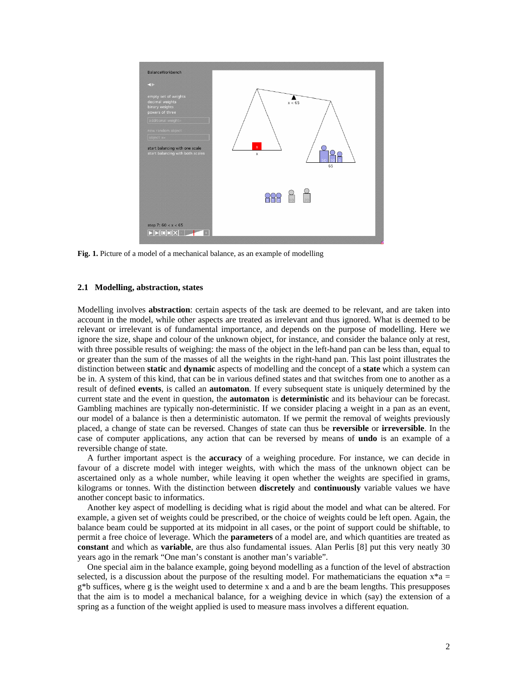

**Fig. 1.** Picture of a model of a mechanical balance, as an example of modelling

#### **2.1 Modelling, abstraction, states**

Modelling involves **abstraction**: certain aspects of the task are deemed to be relevant, and are taken into account in the model, while other aspects are treated as irrelevant and thus ignored. What is deemed to be relevant or irrelevant is of fundamental importance, and depends on the purpose of modelling. Here we ignore the size, shape and colour of the unknown object, for instance, and consider the balance only at rest, with three possible results of weighing: the mass of the object in the left-hand pan can be less than, equal to or greater than the sum of the masses of all the weights in the right-hand pan. This last point illustrates the distinction between **static** and **dynamic** aspects of modelling and the concept of a **state** which a system can be in. A system of this kind, that can be in various defined states and that switches from one to another as a result of defined **events**, is called an **automaton**. If every subsequent state is uniquely determined by the current state and the event in question, the **automaton** is **deterministic** and its behaviour can be forecast. Gambling machines are typically non-deterministic. If we consider placing a weight in a pan as an event, our model of a balance is then a deterministic automaton. If we permit the removal of weights previously placed, a change of state can be reversed. Changes of state can thus be **reversible** or **irreversible**. In the case of computer applications, any action that can be reversed by means of **undo** is an example of a reversible change of state.

A further important aspect is the **accuracy** of a weighing procedure. For instance, we can decide in favour of a discrete model with integer weights, with which the mass of the unknown object can be ascertained only as a whole number, while leaving it open whether the weights are specified in grams, kilograms or tonnes. With the distinction between **discretely** and **continuously** variable values we have another concept basic to informatics.

Another key aspect of modelling is deciding what is rigid about the model and what can be altered. For example, a given set of weights could be prescribed, or the choice of weights could be left open. Again, the balance beam could be supported at its midpoint in all cases, or the point of support could be shiftable, to permit a free choice of leverage. Which the **parameters** of a model are, and which quantities are treated as **constant** and which as **variable**, are thus also fundamental issues. Alan Perlis [8] put this very neatly 30 years ago in the remark "One man's constant is another man's variable".

One special aim in the balance example, going beyond modelling as a function of the level of abstraction selected, is a discussion about the purpose of the resulting model. For mathematicians the equation  $x^*a$  =  $g^*b$  suffices, where g is the weight used to determine x and a and b are the beam lengths. This presupposes that the aim is to model a mechanical balance, for a weighing device in which (say) the extension of a spring as a function of the weight applied is used to measure mass involves a different equation.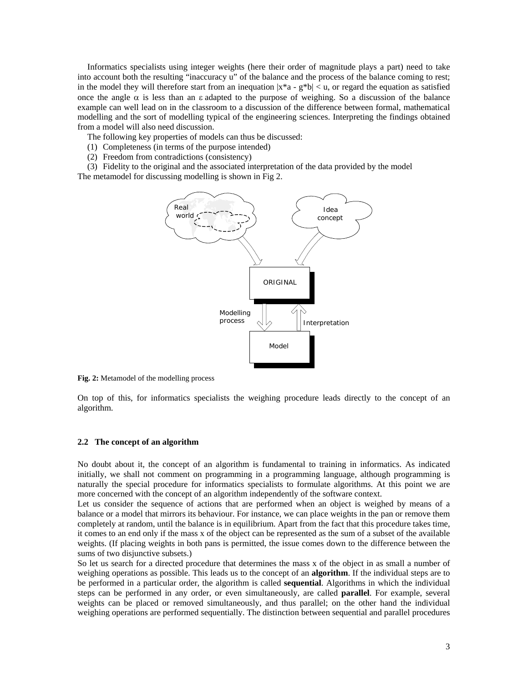Informatics specialists using integer weights (here their order of magnitude plays a part) need to take into account both the resulting "inaccuracy u" of the balance and the process of the balance coming to rest; in the model they will therefore start from an inequation  $|x^*a - g^*b| < u$ , or regard the equation as satisfied once the angle  $\alpha$  is less than an  $\epsilon$  adapted to the purpose of weighing. So a discussion of the balance example can well lead on in the classroom to a discussion of the difference between formal, mathematical modelling and the sort of modelling typical of the engineering sciences. Interpreting the findings obtained from a model will also need discussion.

The following key properties of models can thus be discussed:

- (1) Completeness (in terms of the purpose intended)
- (2) Freedom from contradictions (consistency)
- (3) Fidelity to the original and the associated interpretation of the data provided by the model

The metamodel for discussing modelling is shown in Fig 2.



**Fig. 2:** Metamodel of the modelling process

On top of this, for informatics specialists the weighing procedure leads directly to the concept of an algorithm.

#### **2.2 The concept of an algorithm**

No doubt about it, the concept of an algorithm is fundamental to training in informatics. As indicated initially, we shall not comment on programming in a programming language, although programming is naturally the special procedure for informatics specialists to formulate algorithms. At this point we are more concerned with the concept of an algorithm independently of the software context.

Let us consider the sequence of actions that are performed when an object is weighed by means of a balance or a model that mirrors its behaviour. For instance, we can place weights in the pan or remove them completely at random, until the balance is in equilibrium. Apart from the fact that this procedure takes time, it comes to an end only if the mass x of the object can be represented as the sum of a subset of the available weights. (If placing weights in both pans is permitted, the issue comes down to the difference between the sums of two disjunctive subsets.)

So let us search for a directed procedure that determines the mass x of the object in as small a number of weighing operations as possible. This leads us to the concept of an **algorithm**. If the individual steps are to be performed in a particular order, the algorithm is called **sequential**. Algorithms in which the individual steps can be performed in any order, or even simultaneously, are called **parallel**. For example, several weights can be placed or removed simultaneously, and thus parallel; on the other hand the individual weighing operations are performed sequentially. The distinction between sequential and parallel procedures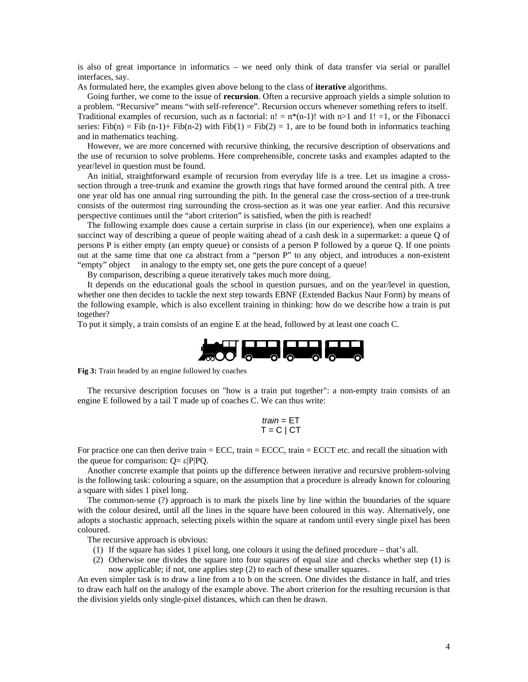is also of great importance in informatics – we need only think of data transfer via serial or parallel interfaces, say.

As formulated here, the examples given above belong to the class of **iterative** algorithms.

Going further, we come to the issue of **recursion**. Often a recursive approach yields a simple solution to a problem. "Recursive" means "with self-reference". Recursion occurs whenever something refers to itself. Traditional examples of recursion, such as n factorial:  $n! = n*(n-1)!$  with  $n>1$  and  $1! =1$ , or the Fibonacci series: Fib(n) = Fib(n-1)+ Fib(n-2) with Fib(1) = Fib(2) = 1, are to be found both in informatics teaching and in mathematics teaching.

However, we are more concerned with recursive thinking, the recursive description of observations and the use of recursion to solve problems. Here comprehensible, concrete tasks and examples adapted to the year/level in question must be found.

An initial, straightforward example of recursion from everyday life is a tree. Let us imagine a crosssection through a tree-trunk and examine the growth rings that have formed around the central pith. A tree one year old has one annual ring surrounding the pith. In the general case the cross-section of a tree-trunk consists of the outermost ring surrounding the cross-section as it was one year earlier. And this recursive perspective continues until the "abort criterion" is satisfied, when the pith is reached!

The following example does cause a certain surprise in class (in our experience), when one explains a succinct way of describing a queue of people waiting ahead of a cash desk in a supermarket: a queue Q of persons P is either empty (an empty queue) or consists of a person P followed by a queue Q. If one points out at the same time that one ca abstract from a "person P" to any object, and introduces a non-existent "empty" object in analogy to the empty set, one gets the pure concept of a queue!

By comparison, describing a queue iteratively takes much more doing.

It depends on the educational goals the school in question pursues, and on the year/level in question, whether one then decides to tackle the next step towards EBNF (Extended Backus Naur Form) by means of the following example, which is also excellent training in thinking: how do we describe how a train is put together?

To put it simply, a train consists of an engine E at the head, followed by at least one coach C.



**Fig 3:** Train headed by an engine followed by coaches

The recursive description focuses on "how is a train put together": a non-empty train consists of an engine E followed by a tail T made up of coaches C. We can thus write:

$$
train = ET
$$
  
T = C | CT

For practice one can then derive train = ECC, train = ECCC, train = ECCT etc. and recall the situation with the queue for comparison:  $Q = \varepsilon |P| PQ$ .

Another concrete example that points up the difference between iterative and recursive problem-solving is the following task: colouring a square, on the assumption that a procedure is already known for colouring a square with sides 1 pixel long.

The common-sense (?) approach is to mark the pixels line by line within the boundaries of the square with the colour desired, until all the lines in the square have been coloured in this way. Alternatively, one adopts a stochastic approach, selecting pixels within the square at random until every single pixel has been coloured.

The recursive approach is obvious:

- (1) If the square has sides 1 pixel long, one colours it using the defined procedure that's all.
- (2) Otherwise one divides the square into four squares of equal size and checks whether step (1) is now applicable; if not, one applies step (2) to each of these smaller squares.

An even simpler task is to draw a line from a to b on the screen. One divides the distance in half, and tries to draw each half on the analogy of the example above. The abort criterion for the resulting recursion is that the division yields only single-pixel distances, which can then be drawn.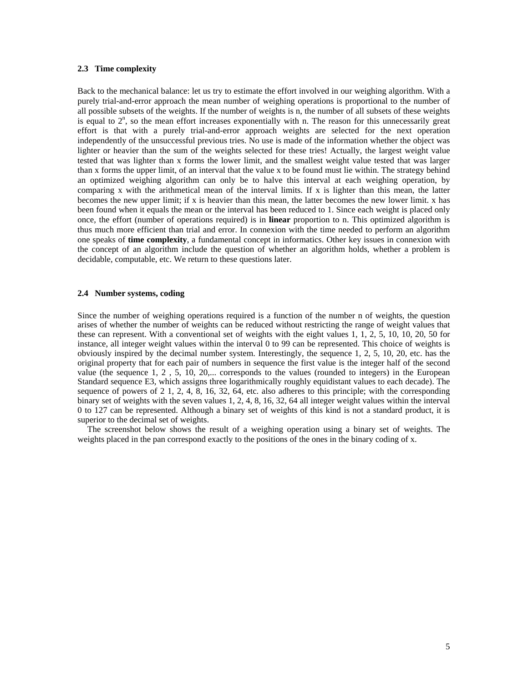### **2.3 Time complexity**

Back to the mechanical balance: let us try to estimate the effort involved in our weighing algorithm. With a purely trial-and-error approach the mean number of weighing operations is proportional to the number of all possible subsets of the weights. If the number of weights is n, the number of all subsets of these weights is equal to  $2<sup>n</sup>$ , so the mean effort increases exponentially with n. The reason for this unnecessarily great effort is that with a purely trial-and-error approach weights are selected for the next operation independently of the unsuccessful previous tries. No use is made of the information whether the object was lighter or heavier than the sum of the weights selected for these tries! Actually, the largest weight value tested that was lighter than x forms the lower limit, and the smallest weight value tested that was larger than x forms the upper limit, of an interval that the value x to be found must lie within. The strategy behind an optimized weighing algorithm can only be to halve this interval at each weighing operation, by comparing x with the arithmetical mean of the interval limits. If x is lighter than this mean, the latter becomes the new upper limit; if x is heavier than this mean, the latter becomes the new lower limit. x has been found when it equals the mean or the interval has been reduced to 1. Since each weight is placed only once, the effort (number of operations required) is in **linear** proportion to n. This optimized algorithm is thus much more efficient than trial and error. In connexion with the time needed to perform an algorithm one speaks of **time complexity**, a fundamental concept in informatics. Other key issues in connexion with the concept of an algorithm include the question of whether an algorithm holds, whether a problem is decidable, computable, etc. We return to these questions later.

## **2.4 Number systems, coding**

Since the number of weighing operations required is a function of the number n of weights, the question arises of whether the number of weights can be reduced without restricting the range of weight values that these can represent. With a conventional set of weights with the eight values 1, 1, 2, 5, 10, 10, 20, 50 for instance, all integer weight values within the interval 0 to 99 can be represented. This choice of weights is obviously inspired by the decimal number system. Interestingly, the sequence 1, 2, 5, 10, 20, etc. has the original property that for each pair of numbers in sequence the first value is the integer half of the second value (the sequence 1, 2 , 5, 10, 20,... corresponds to the values (rounded to integers) in the European Standard sequence E3, which assigns three logarithmically roughly equidistant values to each decade). The sequence of powers of 2 1, 2, 4, 8, 16, 32, 64, etc. also adheres to this principle; with the corresponding binary set of weights with the seven values 1, 2, 4, 8, 16, 32, 64 all integer weight values within the interval 0 to 127 can be represented. Although a binary set of weights of this kind is not a standard product, it is superior to the decimal set of weights.

The screenshot below shows the result of a weighing operation using a binary set of weights. The weights placed in the pan correspond exactly to the positions of the ones in the binary coding of x.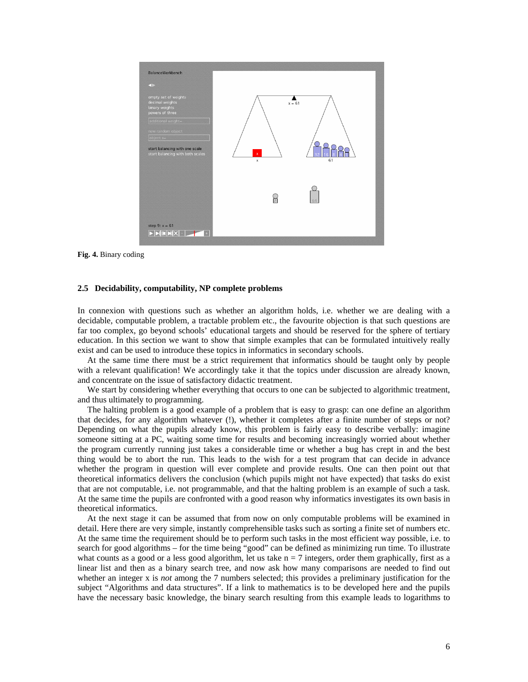

**Fig. 4.** Binary coding

#### **2.5 Decidability, computability, NP complete problems**

In connexion with questions such as whether an algorithm holds, i.e. whether we are dealing with a decidable, computable problem, a tractable problem etc., the favourite objection is that such questions are far too complex, go beyond schools' educational targets and should be reserved for the sphere of tertiary education. In this section we want to show that simple examples that can be formulated intuitively really exist and can be used to introduce these topics in informatics in secondary schools.

At the same time there must be a strict requirement that informatics should be taught only by people with a relevant qualification! We accordingly take it that the topics under discussion are already known, and concentrate on the issue of satisfactory didactic treatment.

We start by considering whether everything that occurs to one can be subjected to algorithmic treatment, and thus ultimately to programming.

The halting problem is a good example of a problem that is easy to grasp: can one define an algorithm that decides, for any algorithm whatever (!), whether it completes after a finite number of steps or not? Depending on what the pupils already know, this problem is fairly easy to describe verbally: imagine someone sitting at a PC, waiting some time for results and becoming increasingly worried about whether the program currently running just takes a considerable time or whether a bug has crept in and the best thing would be to abort the run. This leads to the wish for a test program that can decide in advance whether the program in question will ever complete and provide results. One can then point out that theoretical informatics delivers the conclusion (which pupils might not have expected) that tasks do exist that are not computable, i.e. not programmable, and that the halting problem is an example of such a task. At the same time the pupils are confronted with a good reason why informatics investigates its own basis in theoretical informatics.

At the next stage it can be assumed that from now on only computable problems will be examined in detail. Here there are very simple, instantly comprehensible tasks such as sorting a finite set of numbers etc. At the same time the requirement should be to perform such tasks in the most efficient way possible, i.e. to search for good algorithms – for the time being "good" can be defined as minimizing run time. To illustrate what counts as a good or a less good algorithm, let us take  $n = 7$  integers, order them graphically, first as a linear list and then as a binary search tree, and now ask how many comparisons are needed to find out whether an integer x is *not* among the 7 numbers selected; this provides a preliminary justification for the subject "Algorithms and data structures". If a link to mathematics is to be developed here and the pupils have the necessary basic knowledge, the binary search resulting from this example leads to logarithms to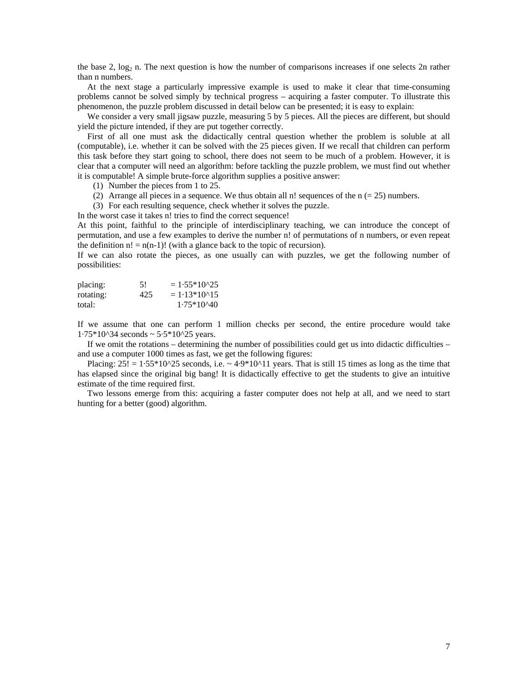the base 2,  $log_2 n$ . The next question is how the number of comparisons increases if one selects 2n rather than n numbers.

At the next stage a particularly impressive example is used to make it clear that time-consuming problems cannot be solved simply by technical progress – acquiring a faster computer. To illustrate this phenomenon, the puzzle problem discussed in detail below can be presented; it is easy to explain:

We consider a very small jigsaw puzzle, measuring 5 by 5 pieces. All the pieces are different, but should yield the picture intended, if they are put together correctly.

First of all one must ask the didactically central question whether the problem is soluble at all (computable), i.e. whether it can be solved with the 25 pieces given. If we recall that children can perform this task before they start going to school, there does not seem to be much of a problem. However, it is clear that a computer will need an algoríthm: before tackling the puzzle problem, we must find out whether it is computable! A simple brute-force algorithm supplies a positive answer:

(1) Number the pieces from 1 to 25.

(2) Arrange all pieces in a sequence. We thus obtain all n! sequences of the  $n (= 25)$  numbers.

(3) For each resulting sequence, check whether it solves the puzzle.

In the worst case it takes n! tries to find the correct sequence!

At this point, faithful to the principle of interdisciplinary teaching, we can introduce the concept of permutation, and use a few examples to derive the number n! of permutations of n numbers, or even repeat the definition  $n! = n(n-1)!$  (with a glance back to the topic of recursion).

If we can also rotate the pieces, as one usually can with puzzles, we get the following number of possibilities:

| placing:  | 5!  | $= 1.55*10^{2}25$ |
|-----------|-----|-------------------|
| rotating: | 425 | $= 1.13*10^{4}15$ |
| total:    |     | $1.75*10^{4}0$    |

If we assume that one can perform 1 million checks per second, the entire procedure would take  $1.75*10^{34}$  seconds ~  $5.5*10^{32}$  years.

If we omit the rotations – determining the number of possibilities could get us into didactic difficulties – and use a computer 1000 times as fast, we get the following figures:

Placing:  $25! = 1.55*10^25$  seconds, i.e.  $\sim 4.9*10^211$  years. That is still 15 times as long as the time that has elapsed since the original big bang! It is didactically effective to get the students to give an intuitive estimate of the time required first.

Two lessons emerge from this: acquiring a faster computer does not help at all, and we need to start hunting for a better (good) algorithm.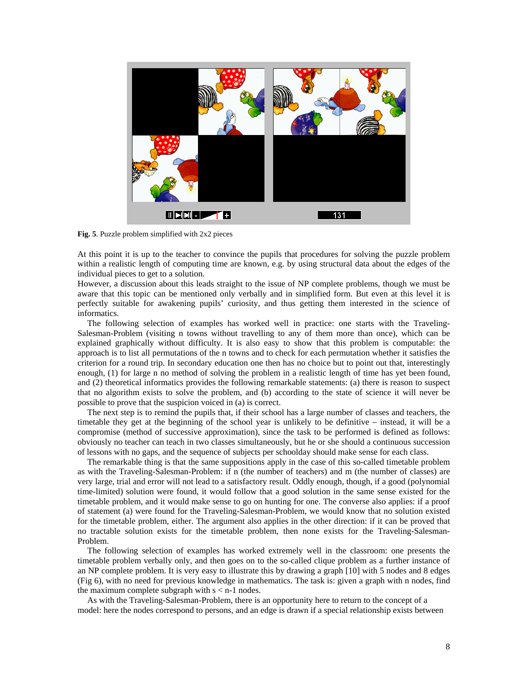

**Fig. 5**. Puzzle problem simplified with 2x2 pieces

At this point it is up to the teacher to convince the pupils that procedures for solving the puzzle problem within a realistic length of computing time are known, e.g. by using structural data about the edges of the individual pieces to get to a solution.

However, a discussion about this leads straight to the issue of NP complete problems, though we must be aware that this topic can be mentioned only verbally and in simplified form. But even at this level it is perfectly suitable for awakening pupils' curiosity, and thus getting them interested in the science of informatics.

The following selection of examples has worked well in practice: one starts with the Traveling-Salesman-Problem (visiting n towns without travelling to any of them more than once), which can be explained graphically without difficulty. It is also easy to show that this problem is computable: the approach is to list all permutations of the n towns and to check for each permutation whether it satisfies the criterion for a round trip. In secondary education one then has no choice but to point out that, interestingly enough, (1) for large n no method of solving the problem in a realistic length of time has yet been found, and (2) theoretical informatics provides the following remarkable statements: (a) there is reason to suspect that no algorithm exists to solve the problem, and (b) according to the state of science it will never be possible to prove that the suspicion voiced in (a) is correct.

The next step is to remind the pupils that, if their school has a large number of classes and teachers, the timetable they get at the beginning of the school year is unlikely to be definitive – instead, it will be a compromise (method of successive approximation), since the task to be performed is defined as follows: obviously no teacher can teach in two classes simultaneously, but he or she should a continuous succession of lessons with no gaps, and the sequence of subjects per schoolday should make sense for each class.

The remarkable thing is that the same suppositions apply in the case of this so-called timetable problem as with the Traveling-Salesman-Problem: if n (the number of teachers) and m (the number of classes) are very large, trial and error will not lead to a satisfactory result. Oddly enough, though, if a good (polynomial time-limited) solution were found, it would follow that a good solution in the same sense existed for the timetable problem, and it would make sense to go on hunting for one. The converse also applies: if a proof of statement (a) were found for the Traveling-Salesman-Problem, we would know that no solution existed for the timetable problem, either. The argument also applies in the other direction: if it can be proved that no tractable solution exists for the timetable problem, then none exists for the Traveling-Salesman-Problem.

The following selection of examples has worked extremely well in the classroom: one presents the timetable problem verbally only, and then goes on to the so-called clique problem as a further instance of an NP complete problem. It is very easy to illustrate this by drawing a graph [10] with 5 nodes and 8 edges (Fig 6), with no need for previous knowledge in mathematics. The task is: given a graph with n nodes, find the maximum complete subgraph with  $s < n-1$  nodes.

As with the Traveling-Salesman-Problem, there is an opportunity here to return to the concept of a model: here the nodes correspond to persons, and an edge is drawn if a special relationship exists between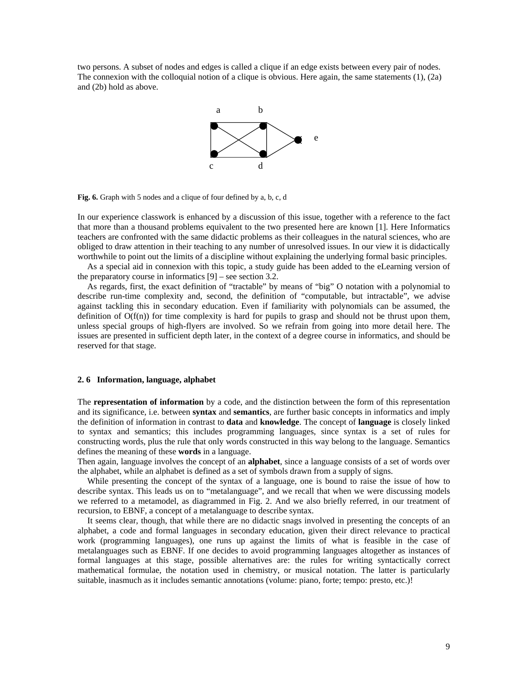two persons. A subset of nodes and edges is called a clique if an edge exists between every pair of nodes. The connexion with the colloquial notion of a clique is obvious. Here again, the same statements (1), (2a) and (2b) hold as above.



**Fig. 6.** Graph with 5 nodes and a clique of four defined by a, b, c, d

In our experience classwork is enhanced by a discussion of this issue, together with a reference to the fact that more than a thousand problems equivalent to the two presented here are known [1]. Here Informatics teachers are confronted with the same didactic problems as their colleagues in the natural sciences, who are obliged to draw attention in their teaching to any number of unresolved issues. In our view it is didactically worthwhile to point out the limits of a discipline without explaining the underlying formal basic principles.

rthwhile to point out the limits of a discipline without explaining the underlying formal basic principles.<br>As a special aid in connexion with this topic, a study guide has been added to the eLearning version of the preparatory course in informatics [9] – see section 3.2.

As regards, first, the exact definition of "tractable" by means of "big" O notation with a polynomial to describe run-time complexity and, second, the definition of "computable, but intractable", we advise against tackling this in secondary education. Even if familiarity with polynomials can be assumed, the definition of  $O(f(n))$  for time complexity is hard for pupils to grasp and should not be thrust upon them, unless special groups of high-flyers are involved. So we refrain from going into more detail here. The issues are presented in sufficient depth later, in the context of a degree course in informatics, and should be reserved for that stage.

#### **2. 6 Information, language, alphabet**

The **representation of information** by a code, and the distinction between the form of this representation and its significance, i.e. between **syntax** and **semantics**, are further basic concepts in informatics and imply the definition of information in contrast to **data** and **knowledge**. The concept of **language** is closely linked to syntax and semantics; this includes programming languages, since syntax is a set of rules for constructing words, plus the rule that only words constructed in this way belong to the language. Semantics defines the meaning of these **words** in a language.

Then again, language involves the concept of an **alphabet**, since a language consists of a set of words over the alphabet, while an alphabet is defined as a set of symbols drawn from a supply of signs.

While presenting the concept of the syntax of a language, one is bound to raise the issue of how to describe syntax. This leads us on to "metalanguage", and we recall that when we were discussing models we referred to a metamodel, as diagrammed in Fig. 2. And we also briefly referred, in our treatment of recursion, to EBNF, a concept of a metalanguage to describe syntax.

It seems clear, though, that while there are no didactic snags involved in presenting the concepts of an alphabet, a code and formal languages in secondary education, given their direct relevance to practical work (programming languages), one runs up against the limits of what is feasible in the case of metalanguages such as EBNF. If one decides to avoid programming languages altogether as instances of formal languages at this stage, possible alternatives are: the rules for writing syntactically correct mathematical formulae, the notation used in chemistry, or musical notation. The latter is particularly suitable, inasmuch as it includes semantic annotations (volume: piano, forte; tempo: presto, etc.)!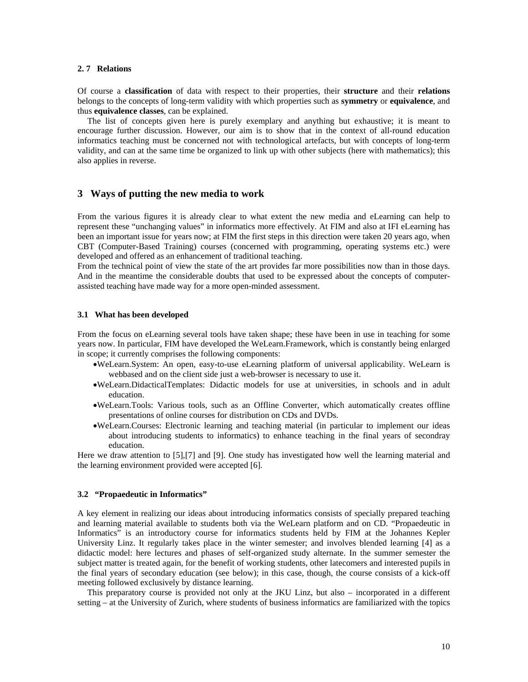#### **2. 7 Relations**

Of course a **classification** of data with respect to their properties, their **structure** and their **relations** belongs to the concepts of long-term validity with which properties such as **symmetry** or **equivalence**, and thus **equivalence classes**, can be explained.

The list of concepts given here is purely exemplary and anything but exhaustive; it is meant to encourage further discussion. However, our aim is to show that in the context of all-round education informatics teaching must be concerned not with technological artefacts, but with concepts of long-term validity, and can at the same time be organized to link up with other subjects (here with mathematics); this also applies in reverse.

## **3 Ways of putting the new media to work**

From the various figures it is already clear to what extent the new media and eLearning can help to represent these "unchanging values" in informatics more effectively. At FIM and also at IFI eLearning has been an important issue for years now; at FIM the first steps in this direction were taken 20 years ago, when CBT (Computer-Based Training) courses (concerned with programming, operating systems etc.) were developed and offered as an enhancement of traditional teaching.

From the technical point of view the state of the art provides far more possibilities now than in those days. And in the meantime the considerable doubts that used to be expressed about the concepts of computerassisted teaching have made way for a more open-minded assessment.

### **3.1 What has been developed**

From the focus on eLearning several tools have taken shape; these have been in use in teaching for some years now. In particular, FIM have developed the WeLearn.Framework, which is constantly being enlarged in scope; it currently comprises the following components:

- •WeLearn.System: An open, easy-to-use eLearning platform of universal applicability. WeLearn is webbased and on the client side just a web-browser is necessary to use it.
- •WeLearn.DidacticalTemplates: Didactic models for use at universities, in schools and in adult education.
- •WeLearn.Tools: Various tools, such as an Offline Converter, which automatically creates offline presentations of online courses for distribution on CDs and DVDs.
- •WeLearn.Courses: Electronic learning and teaching material (in particular to implement our ideas about introducing students to informatics) to enhance teaching in the final years of secondray education.

Here we draw attention to [5],[7] and [9]. One study has investigated how well the learning material and the learning environment provided were accepted [6].

#### **3.2 "Propaedeutic in Informatics"**

A key element in realizing our ideas about introducing informatics consists of specially prepared teaching and learning material available to students both via the WeLearn platform and on CD. "Propaedeutic in Informatics" is an introductory course for informatics students held by FIM at the Johannes Kepler University Linz. It regularly takes place in the winter semester; and involves blended learning [4] as a didactic model: here lectures and phases of self-organized study alternate. In the summer semester the subject matter is treated again, for the benefit of working students, other latecomers and interested pupils in the final years of secondary education (see below); in this case, though, the course consists of a kick-off meeting followed exclusively by distance learning.

This preparatory course is provided not only at the JKU Linz, but also – incorporated in a different setting – at the University of Zurich, where students of business informatics are familiarized with the topics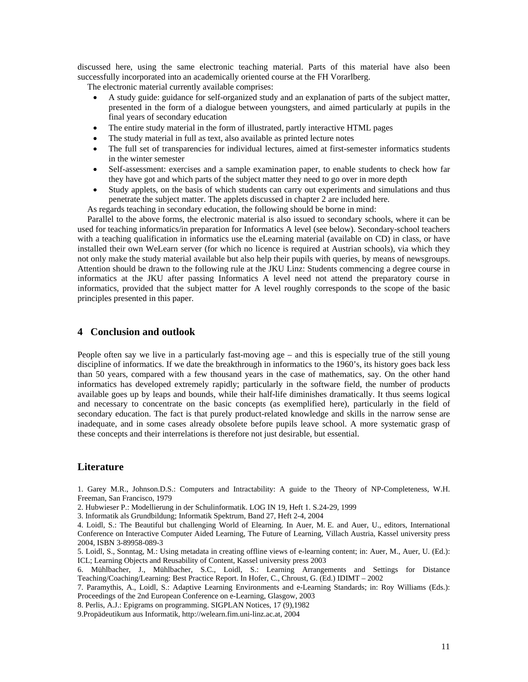discussed here, using the same electronic teaching material. Parts of this material have also been successfully incorporated into an academically oriented course at the FH Vorarlberg.

The electronic material currently available comprises:

- A study guide: guidance for self-organized study and an explanation of parts of the subject matter, presented in the form of a dialogue between youngsters, and aimed particularly at pupils in the final years of secondary education
- The entire study material in the form of illustrated, partly interactive HTML pages
- The study material in full as text, also available as printed lecture notes
- The full set of transparencies for individual lectures, aimed at first-semester informatics students in the winter semester
- Self-assessment: exercises and a sample examination paper, to enable students to check how far they have got and which parts of the subject matter they need to go over in more depth
- Study applets, on the basis of which students can carry out experiments and simulations and thus penetrate the subject matter. The applets discussed in chapter 2 are included here.

As regards teaching in secondary education, the following should be borne in mind:

Parallel to the above forms, the electronic material is also issued to secondary schools, where it can be used for teaching informatics/in preparation for Informatics A level (see below). Secondary-school teachers with a teaching qualification in informatics use the eLearning material (available on CD) in class, or have installed their own WeLearn server (for which no licence is required at Austrian schools), via which they not only make the study material available but also help their pupils with queries, by means of newsgroups. Attention should be drawn to the following rule at the JKU Linz: Students commencing a degree course in informatics at the JKU after passing Informatics A level need not attend the preparatory course in informatics, provided that the subject matter for A level roughly corresponds to the scope of the basic principles presented in this paper.

## **4 Conclusion and outlook**

People often say we live in a particularly fast-moving age – and this is especially true of the still young discipline of informatics. If we date the breakthrough in informatics to the 1960's, its history goes back less than 50 years, compared with a few thousand years in the case of mathematics, say. On the other hand informatics has developed extremely rapidly; particularly in the software field, the number of products available goes up by leaps and bounds, while their half-life diminishes dramatically. It thus seems logical and necessary to concentrate on the basic concepts (as exemplified here), particularly in the field of secondary education. The fact is that purely product-related knowledge and skills in the narrow sense are inadequate, and in some cases already obsolete before pupils leave school. A more systematic grasp of these concepts and their interrelations is therefore not just desirable, but essential.

### **Literature**

1. Garey M.R., Johnson.D.S.: Computers and Intractability: A guide to the Theory of NP-Completeness, W.H. Freeman, San Francisco, 1979

2. Hubwieser P.: Modellierung in der Schulinformatik. LOG IN 19, Heft 1. S.24-29, 1999

3. Informatik als Grundbildung; Informatik Spektrum, Band 27, Heft 2-4, 2004

4. Loidl, S.: The Beautiful but challenging World of Elearning. In Auer, M. E. and Auer, U., editors, International Conference on Interactive Computer Aided Learning, The Future of Learning, Villach Austria, Kassel university press 2004, ISBN 3-89958-089-3

5. Loidl, S., Sonntag, M.: Using metadata in creating offline views of e-learning content; in: Auer, M., Auer, U. (Ed.): ICL; Learning Objects and Reusability of Content, Kassel university press 2003

6. Mühlbacher, J., Mühlbacher, S.C., Loidl, S.: Learning Arrangements and Settings for Distance Teaching/Coaching/Learning: Best Practice Report. In Hofer, C., Chroust, G. (Ed.) IDIMT – 2002

7. Paramythis, A., Loidl, S.: Adaptive Learning Environments and e-Learning Standards; in: Roy Williams (Eds.): Proceedings of the 2nd European Conference on e-Learning, Glasgow, 2003

8. Perlis, A.J.: Epigrams on programming. SIGPLAN Notices, 17 (9),1982

9.Propädeutikum aus Informatik, http://welearn.fim.uni-linz.ac.at, 2004